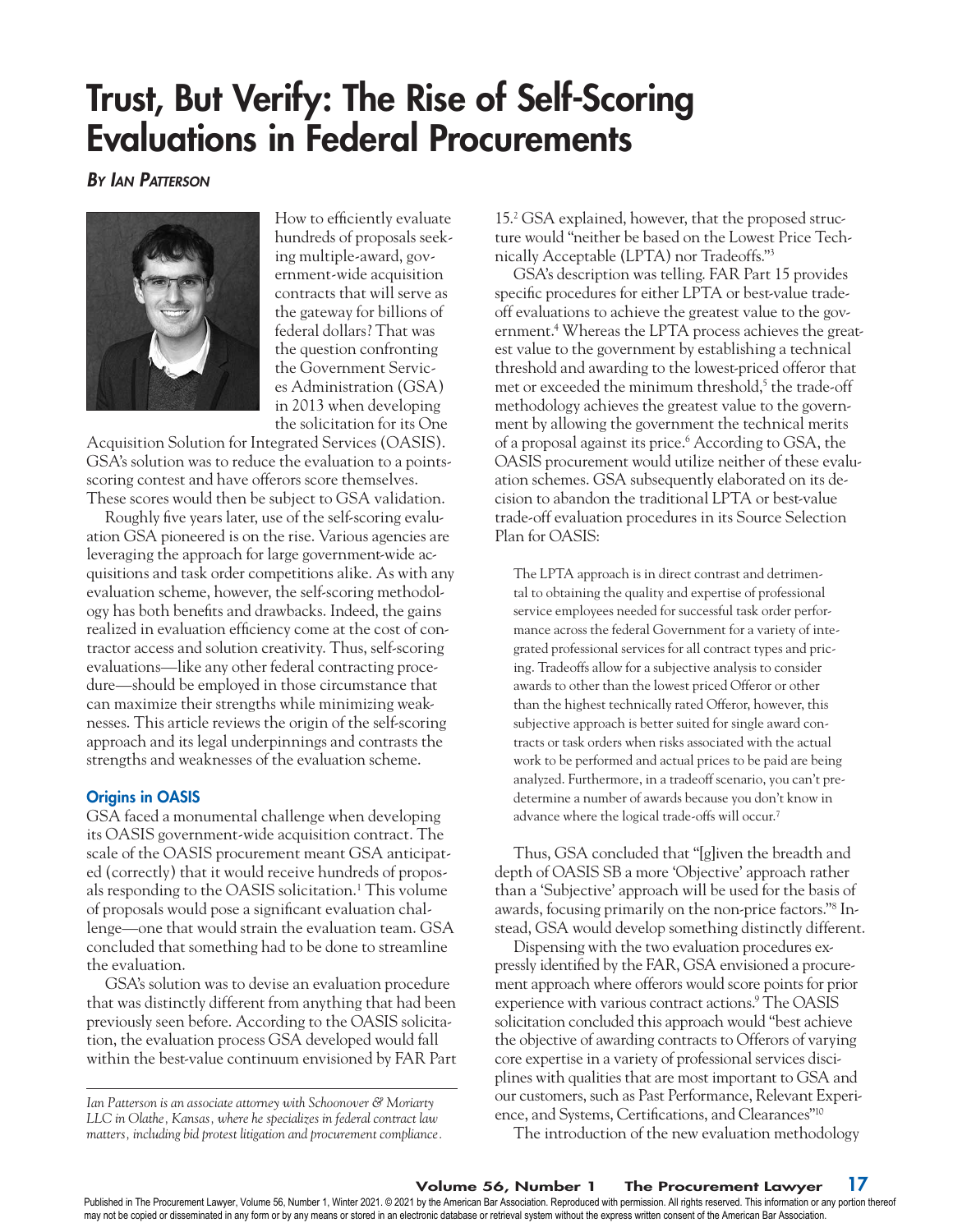# Trust, But Verify: The Rise of Self-Scoring Evaluations in Federal Procurements

*By Ian Patterson*



How to efficiently evaluate hundreds of proposals seeking multiple-award, government-wide acquisition contracts that will serve as the gateway for billions of federal dollars? That was the question confronting the Government Services Administration (GSA) in 2013 when developing the solicitation for its One

Acquisition Solution for Integrated Services (OASIS). GSA's solution was to reduce the evaluation to a pointsscoring contest and have offerors score themselves. These scores would then be subject to GSA validation.

Roughly five years later, use of the self-scoring evaluation GSA pioneered is on the rise. Various agencies are leveraging the approach for large government-wide acquisitions and task order competitions alike. As with any evaluation scheme, however, the self-scoring methodology has both benefits and drawbacks. Indeed, the gains realized in evaluation efficiency come at the cost of contractor access and solution creativity. Thus, self-scoring evaluations—like any other federal contracting procedure—should be employed in those circumstance that can maximize their strengths while minimizing weaknesses. This article reviews the origin of the self-scoring approach and its legal underpinnings and contrasts the strengths and weaknesses of the evaluation scheme.

## Origins in OASIS

GSA faced a monumental challenge when developing its OASIS government-wide acquisition contract. The scale of the OASIS procurement meant GSA anticipated (correctly) that it would receive hundreds of proposals responding to the OASIS solicitation.<sup>1</sup> This volume of proposals would pose a significant evaluation challenge—one that would strain the evaluation team. GSA concluded that something had to be done to streamline the evaluation.

GSA's solution was to devise an evaluation procedure that was distinctly different from anything that had been previously seen before. According to the OASIS solicitation, the evaluation process GSA developed would fall within the best-value continuum envisioned by FAR Part

*Ian Patterson is an associate attorney with Schoonover & Moriarty LLC in Olathe, Kansas, where he specializes in federal contract law matters, including bid protest litigation and procurement compliance.*

15.2 GSA explained, however, that the proposed structure would "neither be based on the Lowest Price Technically Acceptable (LPTA) nor Tradeoffs."3

GSA's description was telling. FAR Part 15 provides specific procedures for either LPTA or best-value tradeoff evaluations to achieve the greatest value to the government.4 Whereas the LPTA process achieves the greatest value to the government by establishing a technical threshold and awarding to the lowest-priced offeror that met or exceeded the minimum threshold,<sup>5</sup> the trade-off methodology achieves the greatest value to the government by allowing the government the technical merits of a proposal against its price.6 According to GSA, the OASIS procurement would utilize neither of these evaluation schemes. GSA subsequently elaborated on its decision to abandon the traditional LPTA or best-value trade-off evaluation procedures in its Source Selection Plan for OASIS:

The LPTA approach is in direct contrast and detrimental to obtaining the quality and expertise of professional service employees needed for successful task order performance across the federal Government for a variety of integrated professional services for all contract types and pricing. Tradeoffs allow for a subjective analysis to consider awards to other than the lowest priced Offeror or other than the highest technically rated Offeror, however, this subjective approach is better suited for single award contracts or task orders when risks associated with the actual work to be performed and actual prices to be paid are being analyzed. Furthermore, in a tradeoff scenario, you can't predetermine a number of awards because you don't know in advance where the logical trade-offs will occur.7

Thus, GSA concluded that "[g]iven the breadth and depth of OASIS SB a more 'Objective' approach rather than a 'Subjective' approach will be used for the basis of awards, focusing primarily on the non-price factors."8 Instead, GSA would develop something distinctly different.

Dispensing with the two evaluation procedures expressly identified by the FAR, GSA envisioned a procurement approach where offerors would score points for prior experience with various contract actions.9 The OASIS solicitation concluded this approach would "best achieve the objective of awarding contracts to Offerors of varying core expertise in a variety of professional services disciplines with qualities that are most important to GSA and our customers, such as Past Performance, Relevant Experience, and Systems, Certifications, and Clearances"10

The introduction of the new evaluation methodology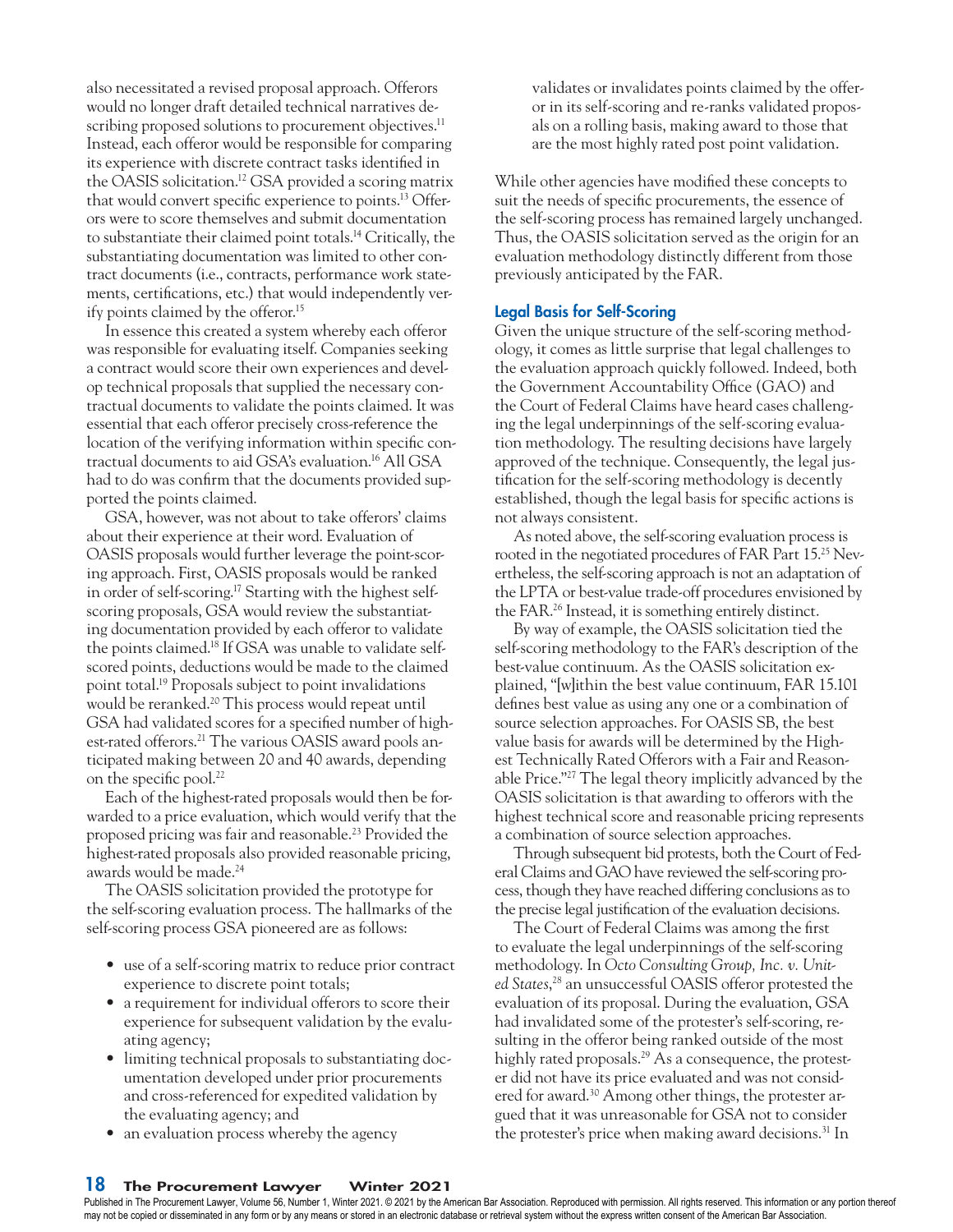also necessitated a revised proposal approach. Offerors would no longer draft detailed technical narratives describing proposed solutions to procurement objectives.<sup>11</sup> Instead, each offeror would be responsible for comparing its experience with discrete contract tasks identified in the OASIS solicitation.12 GSA provided a scoring matrix that would convert specific experience to points.13 Offerors were to score themselves and submit documentation to substantiate their claimed point totals.14 Critically, the substantiating documentation was limited to other contract documents (i.e., contracts, performance work statements, certifications, etc.) that would independently verify points claimed by the offeror.15

In essence this created a system whereby each offeror was responsible for evaluating itself. Companies seeking a contract would score their own experiences and develop technical proposals that supplied the necessary contractual documents to validate the points claimed. It was essential that each offeror precisely cross-reference the location of the verifying information within specific contractual documents to aid GSA's evaluation.16 All GSA had to do was confirm that the documents provided supported the points claimed.

GSA, however, was not about to take offerors' claims about their experience at their word. Evaluation of OASIS proposals would further leverage the point-scoring approach. First, OASIS proposals would be ranked in order of self-scoring.17 Starting with the highest selfscoring proposals, GSA would review the substantiating documentation provided by each offeror to validate the points claimed.18 If GSA was unable to validate selfscored points, deductions would be made to the claimed point total.19 Proposals subject to point invalidations would be reranked.<sup>20</sup> This process would repeat until GSA had validated scores for a specified number of highest-rated offerors.21 The various OASIS award pools anticipated making between 20 and 40 awards, depending on the specific pool.<sup>22</sup>

Each of the highest-rated proposals would then be forwarded to a price evaluation, which would verify that the proposed pricing was fair and reasonable.23 Provided the highest-rated proposals also provided reasonable pricing, awards would be made.24

The OASIS solicitation provided the prototype for the self-scoring evaluation process. The hallmarks of the self-scoring process GSA pioneered are as follows:

- use of a self-scoring matrix to reduce prior contract experience to discrete point totals;
- a requirement for individual offerors to score their experience for subsequent validation by the evaluating agency;
- limiting technical proposals to substantiating documentation developed under prior procurements and cross-referenced for expedited validation by the evaluating agency; and
- an evaluation process whereby the agency

validates or invalidates points claimed by the offeror in its self-scoring and re-ranks validated proposals on a rolling basis, making award to those that are the most highly rated post point validation.

While other agencies have modified these concepts to suit the needs of specific procurements, the essence of the self-scoring process has remained largely unchanged. Thus, the OASIS solicitation served as the origin for an evaluation methodology distinctly different from those previously anticipated by the FAR.

## Legal Basis for Self-Scoring

Given the unique structure of the self-scoring methodology, it comes as little surprise that legal challenges to the evaluation approach quickly followed. Indeed, both the Government Accountability Office (GAO) and the Court of Federal Claims have heard cases challenging the legal underpinnings of the self-scoring evaluation methodology. The resulting decisions have largely approved of the technique. Consequently, the legal justification for the self-scoring methodology is decently established, though the legal basis for specific actions is not always consistent.

As noted above, the self-scoring evaluation process is rooted in the negotiated procedures of FAR Part 15.25 Nevertheless, the self-scoring approach is not an adaptation of the LPTA or best-value trade-off procedures envisioned by the FAR.26 Instead, it is something entirely distinct.

By way of example, the OASIS solicitation tied the self-scoring methodology to the FAR's description of the best-value continuum. As the OASIS solicitation explained, "[w]ithin the best value continuum, FAR 15.101 defines best value as using any one or a combination of source selection approaches. For OASIS SB, the best value basis for awards will be determined by the Highest Technically Rated Offerors with a Fair and Reasonable Price."27 The legal theory implicitly advanced by the OASIS solicitation is that awarding to offerors with the highest technical score and reasonable pricing represents a combination of source selection approaches.

Through subsequent bid protests, both the Court of Federal Claims and GAO have reviewed the self-scoring process, though they have reached differing conclusions as to the precise legal justification of the evaluation decisions.

The Court of Federal Claims was among the first to evaluate the legal underpinnings of the self-scoring methodology. In *Octo Consulting Group, Inc. v. United States*, 28 an unsuccessful OASIS offeror protested the evaluation of its proposal. During the evaluation, GSA had invalidated some of the protester's self-scoring, resulting in the offeror being ranked outside of the most highly rated proposals.<sup>29</sup> As a consequence, the protester did not have its price evaluated and was not considered for award.30 Among other things, the protester argued that it was unreasonable for GSA not to consider the protester's price when making award decisions.<sup>31</sup> In

Published in The Procurement Lawyer, Volume 56, Number 1, Winter 2021. © 2021 by the American Bar Association. Reproduced with permission. All rights reserved. This information or any portion thereof may not be copied or disseminated in any form or by any means or stored in an electronic database or retrieval system without the express written consent of the American Bar Association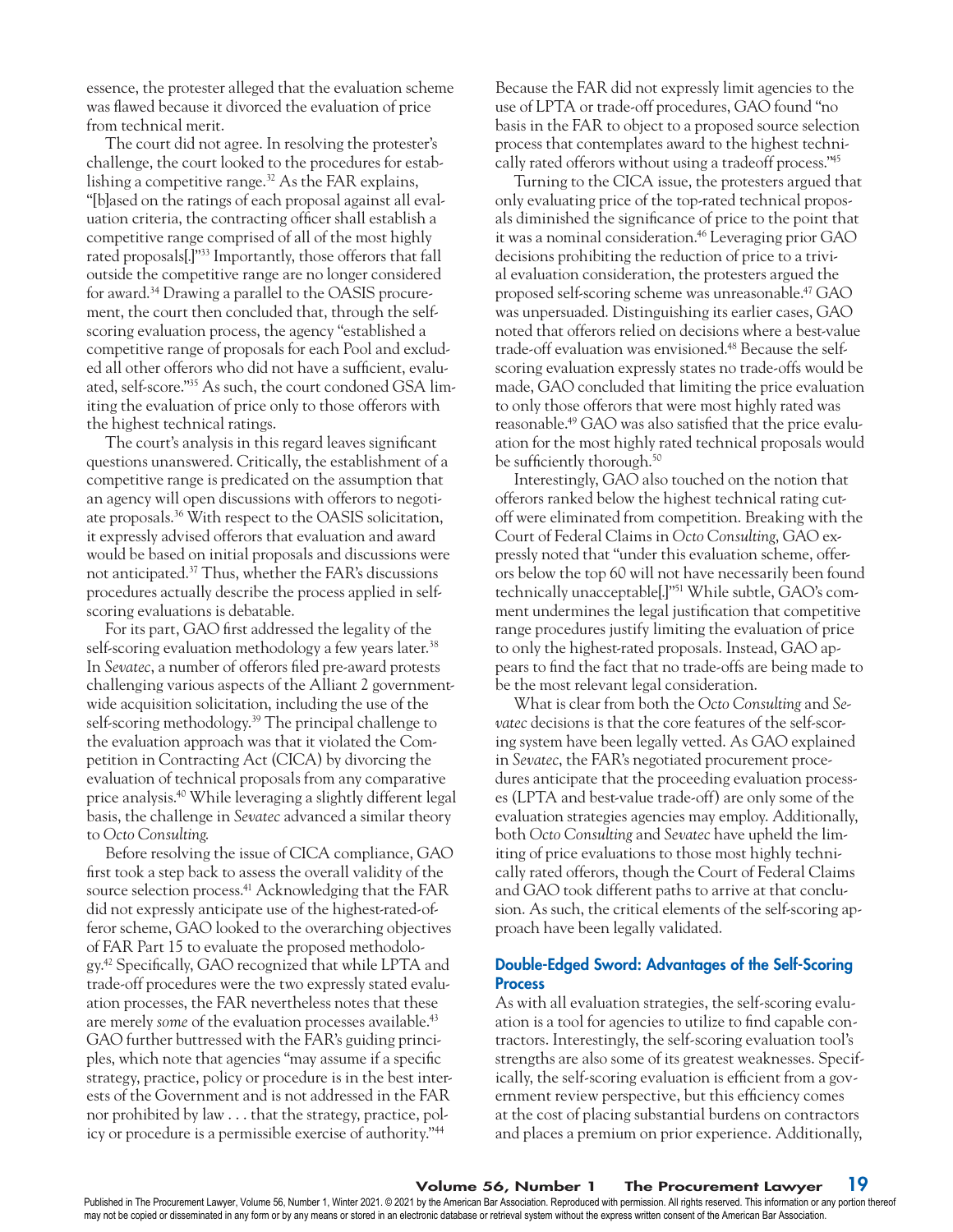essence, the protester alleged that the evaluation scheme was flawed because it divorced the evaluation of price from technical merit.

The court did not agree. In resolving the protester's challenge, the court looked to the procedures for establishing a competitive range.<sup>32</sup> As the FAR explains, "[b]ased on the ratings of each proposal against all evaluation criteria, the contracting officer shall establish a competitive range comprised of all of the most highly rated proposals[.]"33 Importantly, those offerors that fall outside the competitive range are no longer considered for award.34 Drawing a parallel to the OASIS procurement, the court then concluded that, through the selfscoring evaluation process, the agency "established a competitive range of proposals for each Pool and excluded all other offerors who did not have a sufficient, evaluated, self-score."35 As such, the court condoned GSA limiting the evaluation of price only to those offerors with the highest technical ratings.

The court's analysis in this regard leaves significant questions unanswered. Critically, the establishment of a competitive range is predicated on the assumption that an agency will open discussions with offerors to negotiate proposals.36 With respect to the OASIS solicitation, it expressly advised offerors that evaluation and award would be based on initial proposals and discussions were not anticipated.37 Thus, whether the FAR's discussions procedures actually describe the process applied in selfscoring evaluations is debatable.

For its part, GAO first addressed the legality of the self-scoring evaluation methodology a few years later.<sup>38</sup> In *Sevatec*, a number of offerors filed pre-award protests challenging various aspects of the Alliant 2 governmentwide acquisition solicitation, including the use of the self-scoring methodology.<sup>39</sup> The principal challenge to the evaluation approach was that it violated the Competition in Contracting Act (CICA) by divorcing the evaluation of technical proposals from any comparative price analysis.40 While leveraging a slightly different legal basis, the challenge in *Sevatec* advanced a similar theory to *Octo Consulting*.

Before resolving the issue of CICA compliance, GAO first took a step back to assess the overall validity of the source selection process.<sup>41</sup> Acknowledging that the FAR did not expressly anticipate use of the highest-rated-offeror scheme, GAO looked to the overarching objectives of FAR Part 15 to evaluate the proposed methodology.42 Specifically, GAO recognized that while LPTA and trade-off procedures were the two expressly stated evaluation processes, the FAR nevertheless notes that these are merely *some* of the evaluation processes available.<sup>43</sup> GAO further buttressed with the FAR's guiding principles, which note that agencies "may assume if a specific strategy, practice, policy or procedure is in the best interests of the Government and is not addressed in the FAR nor prohibited by law . . . that the strategy, practice, policy or procedure is a permissible exercise of authority."44

Because the FAR did not expressly limit agencies to the use of LPTA or trade-off procedures, GAO found "no basis in the FAR to object to a proposed source selection process that contemplates award to the highest technically rated offerors without using a tradeoff process."45

Turning to the CICA issue, the protesters argued that only evaluating price of the top-rated technical proposals diminished the significance of price to the point that it was a nominal consideration.<sup>46</sup> Leveraging prior GAO decisions prohibiting the reduction of price to a trivial evaluation consideration, the protesters argued the proposed self-scoring scheme was unreasonable.47 GAO was unpersuaded. Distinguishing its earlier cases, GAO noted that offerors relied on decisions where a best-value trade-off evaluation was envisioned.48 Because the selfscoring evaluation expressly states no trade-offs would be made, GAO concluded that limiting the price evaluation to only those offerors that were most highly rated was reasonable.49 GAO was also satisfied that the price evaluation for the most highly rated technical proposals would be sufficiently thorough.<sup>50</sup>

Interestingly, GAO also touched on the notion that offerors ranked below the highest technical rating cutoff were eliminated from competition. Breaking with the Court of Federal Claims in *Octo Consulting*, GAO expressly noted that "under this evaluation scheme, offerors below the top 60 will not have necessarily been found technically unacceptable[.]"51 While subtle, GAO's comment undermines the legal justification that competitive range procedures justify limiting the evaluation of price to only the highest-rated proposals. Instead, GAO appears to find the fact that no trade-offs are being made to be the most relevant legal consideration.

What is clear from both the *Octo Consulting* and *Sevatec* decisions is that the core features of the self-scoring system have been legally vetted. As GAO explained in *Sevatec*, the FAR's negotiated procurement procedures anticipate that the proceeding evaluation processes (LPTA and best-value trade-off) are only some of the evaluation strategies agencies may employ. Additionally, both *Octo Consulting* and *Sevatec* have upheld the limiting of price evaluations to those most highly technically rated offerors, though the Court of Federal Claims and GAO took different paths to arrive at that conclusion. As such, the critical elements of the self-scoring approach have been legally validated.

## Double-Edged Sword: Advantages of the Self-Scoring **Process**

As with all evaluation strategies, the self-scoring evaluation is a tool for agencies to utilize to find capable contractors. Interestingly, the self-scoring evaluation tool's strengths are also some of its greatest weaknesses. Specifically, the self-scoring evaluation is efficient from a government review perspective, but this efficiency comes at the cost of placing substantial burdens on contractors and places a premium on prior experience. Additionally,

## Volume 56, Number 1 The Procurement Lawyer 19

Published in The Procurement Lawyer, Volume 56, Number 1, Winter 2021. © 2021 by the American Bar Association. Reproduced with permission. All rights reserved. This information or any portion thereof may not be copied or disseminated in any form or by any means or stored in an electronic database or retrieval system without the express written consent of the American Bar Association.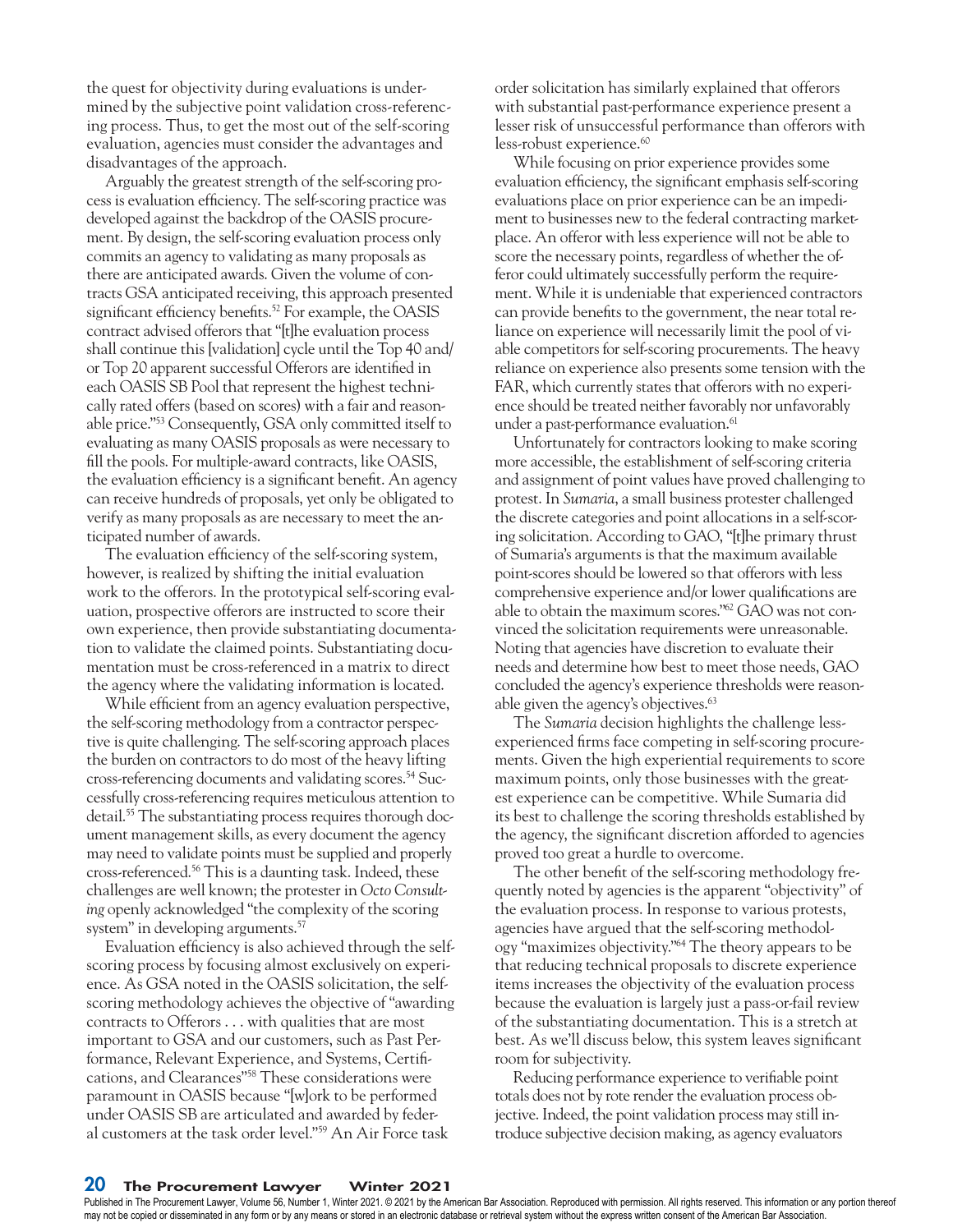the quest for objectivity during evaluations is undermined by the subjective point validation cross-referencing process. Thus, to get the most out of the self-scoring evaluation, agencies must consider the advantages and disadvantages of the approach.

Arguably the greatest strength of the self-scoring process is evaluation efficiency. The self-scoring practice was developed against the backdrop of the OASIS procurement. By design, the self-scoring evaluation process only commits an agency to validating as many proposals as there are anticipated awards. Given the volume of contracts GSA anticipated receiving, this approach presented significant efficiency benefits.<sup>52</sup> For example, the OASIS contract advised offerors that "[t]he evaluation process shall continue this [validation] cycle until the Top 40 and/ or Top 20 apparent successful Offerors are identified in each OASIS SB Pool that represent the highest technically rated offers (based on scores) with a fair and reasonable price."53 Consequently, GSA only committed itself to evaluating as many OASIS proposals as were necessary to fill the pools. For multiple-award contracts, like OASIS, the evaluation efficiency is a significant benefit. An agency can receive hundreds of proposals, yet only be obligated to verify as many proposals as are necessary to meet the anticipated number of awards.

The evaluation efficiency of the self-scoring system, however, is realized by shifting the initial evaluation work to the offerors. In the prototypical self-scoring evaluation, prospective offerors are instructed to score their own experience, then provide substantiating documentation to validate the claimed points. Substantiating documentation must be cross-referenced in a matrix to direct the agency where the validating information is located.

While efficient from an agency evaluation perspective, the self-scoring methodology from a contractor perspective is quite challenging. The self-scoring approach places the burden on contractors to do most of the heavy lifting cross-referencing documents and validating scores.54 Successfully cross-referencing requires meticulous attention to detail.<sup>55</sup> The substantiating process requires thorough document management skills, as every document the agency may need to validate points must be supplied and properly cross-referenced.56 This is a daunting task. Indeed, these challenges are well known; the protester in *Octo Consulting* openly acknowledged "the complexity of the scoring system" in developing arguments.<sup>57</sup>

Evaluation efficiency is also achieved through the selfscoring process by focusing almost exclusively on experience. As GSA noted in the OASIS solicitation, the selfscoring methodology achieves the objective of "awarding contracts to Offerors . . . with qualities that are most important to GSA and our customers, such as Past Performance, Relevant Experience, and Systems, Certifications, and Clearances"58 These considerations were paramount in OASIS because "[w]ork to be performed under OASIS SB are articulated and awarded by federal customers at the task order level."59 An Air Force task

order solicitation has similarly explained that offerors with substantial past-performance experience present a lesser risk of unsuccessful performance than offerors with less-robust experience.<sup>60</sup>

While focusing on prior experience provides some evaluation efficiency, the significant emphasis self-scoring evaluations place on prior experience can be an impediment to businesses new to the federal contracting marketplace. An offeror with less experience will not be able to score the necessary points, regardless of whether the offeror could ultimately successfully perform the requirement. While it is undeniable that experienced contractors can provide benefits to the government, the near total reliance on experience will necessarily limit the pool of viable competitors for self-scoring procurements. The heavy reliance on experience also presents some tension with the FAR, which currently states that offerors with no experience should be treated neither favorably nor unfavorably under a past-performance evaluation.<sup>61</sup>

Unfortunately for contractors looking to make scoring more accessible, the establishment of self-scoring criteria and assignment of point values have proved challenging to protest. In *Sumaria*, a small business protester challenged the discrete categories and point allocations in a self-scoring solicitation. According to GAO, "[t]he primary thrust of Sumaria's arguments is that the maximum available point-scores should be lowered so that offerors with less comprehensive experience and/or lower qualifications are able to obtain the maximum scores."62 GAO was not convinced the solicitation requirements were unreasonable. Noting that agencies have discretion to evaluate their needs and determine how best to meet those needs, GAO concluded the agency's experience thresholds were reasonable given the agency's objectives.<sup>63</sup>

The *Sumaria* decision highlights the challenge lessexperienced firms face competing in self-scoring procurements. Given the high experiential requirements to score maximum points, only those businesses with the greatest experience can be competitive. While Sumaria did its best to challenge the scoring thresholds established by the agency, the significant discretion afforded to agencies proved too great a hurdle to overcome.

The other benefit of the self-scoring methodology frequently noted by agencies is the apparent "objectivity" of the evaluation process. In response to various protests, agencies have argued that the self-scoring methodology "maximizes objectivity."64 The theory appears to be that reducing technical proposals to discrete experience items increases the objectivity of the evaluation process because the evaluation is largely just a pass-or-fail review of the substantiating documentation. This is a stretch at best. As we'll discuss below, this system leaves significant room for subjectivity.

Reducing performance experience to verifiable point totals does not by rote render the evaluation process objective. Indeed, the point validation process may still introduce subjective decision making, as agency evaluators

#### 20 The Procurement Lawyer Winter 2021

Published in The Procurement Lawyer, Volume 56, Number 1, Winter 2021. © 2021 by the American Bar Association. Reproduced with permission. All rights reserved. This information or any portion thereof may not be copied or disseminated in any form or by any means or stored in an electronic database or retrieval system without the express written consent of the American Bar Association.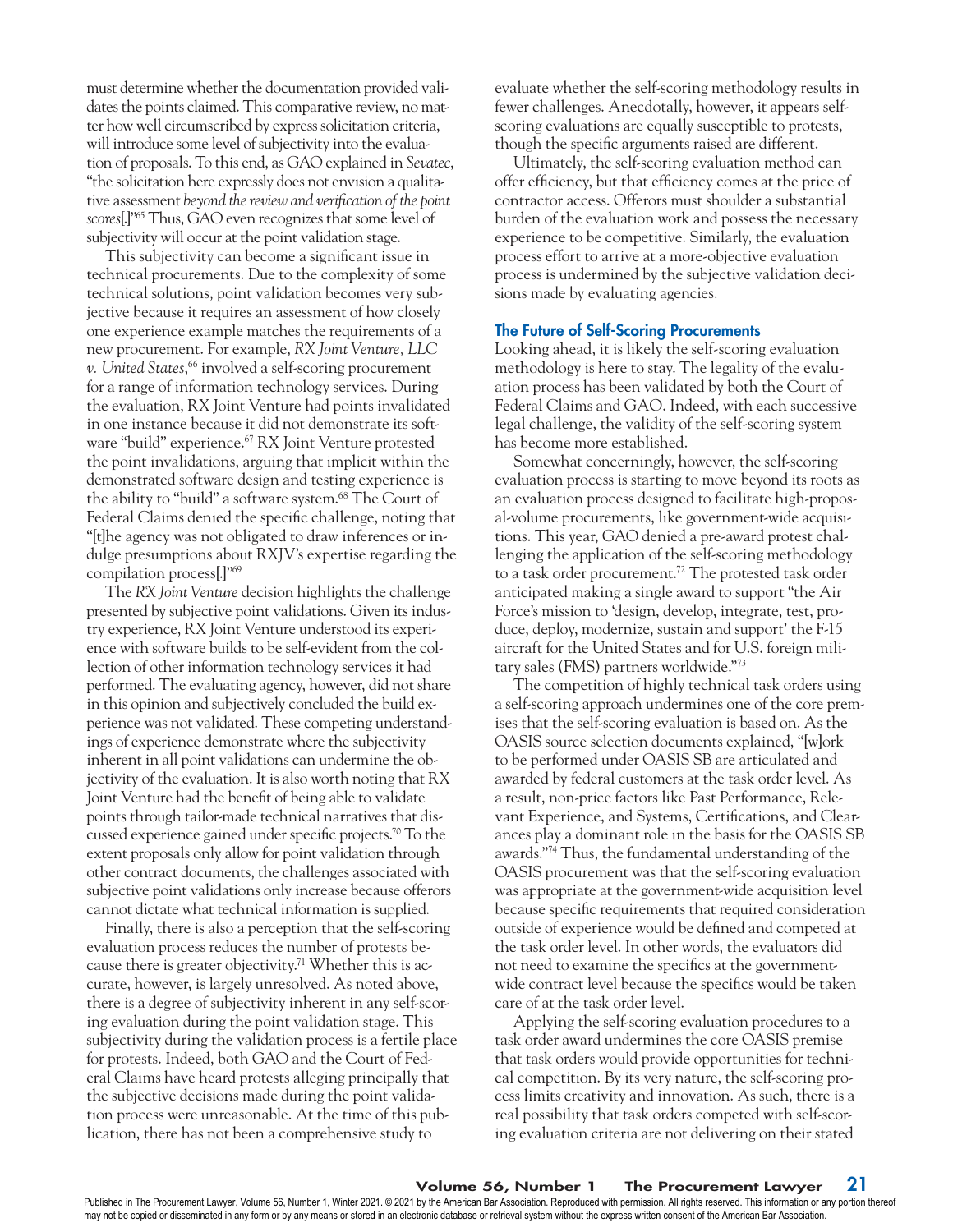must determine whether the documentation provided validates the points claimed. This comparative review, no matter how well circumscribed by express solicitation criteria, will introduce some level of subjectivity into the evaluation of proposals. To this end, as GAO explained in *Sevatec*, "the solicitation here expressly does not envision a qualitative assessment *beyond the review and verification of the point scores*[.]"65 Thus, GAO even recognizes that some level of subjectivity will occur at the point validation stage.

This subjectivity can become a significant issue in technical procurements. Due to the complexity of some technical solutions, point validation becomes very subjective because it requires an assessment of how closely one experience example matches the requirements of a new procurement. For example, *RX Joint Venture, LLC v. United States*, 66 involved a self-scoring procurement for a range of information technology services. During the evaluation, RX Joint Venture had points invalidated in one instance because it did not demonstrate its software "build" experience.<sup>67</sup> RX Joint Venture protested the point invalidations, arguing that implicit within the demonstrated software design and testing experience is the ability to "build" a software system.<sup>68</sup> The Court of Federal Claims denied the specific challenge, noting that "[t]he agency was not obligated to draw inferences or indulge presumptions about RXJV's expertise regarding the compilation process[.]"69

The *RX Joint Venture* decision highlights the challenge presented by subjective point validations. Given its industry experience, RX Joint Venture understood its experience with software builds to be self-evident from the collection of other information technology services it had performed. The evaluating agency, however, did not share in this opinion and subjectively concluded the build experience was not validated. These competing understandings of experience demonstrate where the subjectivity inherent in all point validations can undermine the objectivity of the evaluation. It is also worth noting that RX Joint Venture had the benefit of being able to validate points through tailor-made technical narratives that discussed experience gained under specific projects.70 To the extent proposals only allow for point validation through other contract documents, the challenges associated with subjective point validations only increase because offerors cannot dictate what technical information is supplied.

Finally, there is also a perception that the self-scoring evaluation process reduces the number of protests because there is greater objectivity.71 Whether this is accurate, however, is largely unresolved. As noted above, there is a degree of subjectivity inherent in any self-scoring evaluation during the point validation stage. This subjectivity during the validation process is a fertile place for protests. Indeed, both GAO and the Court of Federal Claims have heard protests alleging principally that the subjective decisions made during the point validation process were unreasonable. At the time of this publication, there has not been a comprehensive study to

evaluate whether the self-scoring methodology results in fewer challenges. Anecdotally, however, it appears selfscoring evaluations are equally susceptible to protests, though the specific arguments raised are different.

Ultimately, the self-scoring evaluation method can offer efficiency, but that efficiency comes at the price of contractor access. Offerors must shoulder a substantial burden of the evaluation work and possess the necessary experience to be competitive. Similarly, the evaluation process effort to arrive at a more-objective evaluation process is undermined by the subjective validation decisions made by evaluating agencies.

#### The Future of Self-Scoring Procurements

Looking ahead, it is likely the self-scoring evaluation methodology is here to stay. The legality of the evaluation process has been validated by both the Court of Federal Claims and GAO. Indeed, with each successive legal challenge, the validity of the self-scoring system has become more established.

Somewhat concerningly, however, the self-scoring evaluation process is starting to move beyond its roots as an evaluation process designed to facilitate high-proposal-volume procurements, like government-wide acquisitions. This year, GAO denied a pre-award protest challenging the application of the self-scoring methodology to a task order procurement.72 The protested task order anticipated making a single award to support "the Air Force's mission to 'design, develop, integrate, test, produce, deploy, modernize, sustain and support' the F-15 aircraft for the United States and for U.S. foreign military sales (FMS) partners worldwide."73

The competition of highly technical task orders using a self-scoring approach undermines one of the core premises that the self-scoring evaluation is based on. As the OASIS source selection documents explained, "[w]ork to be performed under OASIS SB are articulated and awarded by federal customers at the task order level. As a result, non-price factors like Past Performance, Relevant Experience, and Systems, Certifications, and Clearances play a dominant role in the basis for the OASIS SB awards."74 Thus, the fundamental understanding of the OASIS procurement was that the self-scoring evaluation was appropriate at the government-wide acquisition level because specific requirements that required consideration outside of experience would be defined and competed at the task order level. In other words, the evaluators did not need to examine the specifics at the governmentwide contract level because the specifics would be taken care of at the task order level.

Applying the self-scoring evaluation procedures to a task order award undermines the core OASIS premise that task orders would provide opportunities for technical competition. By its very nature, the self-scoring process limits creativity and innovation. As such, there is a real possibility that task orders competed with self-scoring evaluation criteria are not delivering on their stated